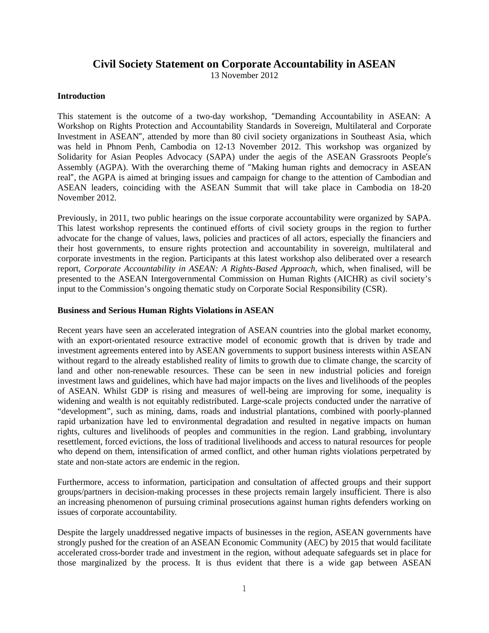# **Civil Society Statement on Corporate Accountability in ASEAN**

13 November 2012

# **Introduction**

This statement is the outcome of a two-day workshop, "Demanding Accountability in ASEAN: A Workshop on Rights Protection and Accountability Standards in Sovereign, Multilateral and Corporate Investment in ASEAN", attended by more than 80 civil society organizations in Southeast Asia, which was held in Phnom Penh, Cambodia on 12-13 November 2012. This workshop was organized by Solidarity for Asian Peoples Advocacy (SAPA) under the aegis of the ASEAN Grassroots People's Assembly (AGPA). With the overarching theme of "Making human rights and democracy in ASEAN real", the AGPA is aimed at bringing issues and campaign for change to the attention of Cambodian and ASEAN leaders, coinciding with the ASEAN Summit that will take place in Cambodia on 18-20 November 2012.

Previously, in 2011, two public hearings on the issue corporate accountability were organized by SAPA. This latest workshop represents the continued efforts of civil society groups in the region to further advocate for the change of values, laws, policies and practices of all actors, especially the financiers and their host governments, to ensure rights protection and accountability in sovereign, multilateral and corporate investments in the region. Participants at this latest workshop also deliberated over a research report, *Corporate Accountability in ASEAN: A Rights-Based Approach*, which, when finalised, will be presented to the ASEAN Intergovernmental Commission on Human Rights (AICHR) as civil society's input to the Commission's ongoing thematic study on Corporate Social Responsibility (CSR).

# **Business and Serious Human Rights Violations in ASEAN**

Recent years have seen an accelerated integration of ASEAN countries into the global market economy, with an export-orientated resource extractive model of economic growth that is driven by trade and investment agreements entered into by ASEAN governments to support business interests within ASEAN without regard to the already established reality of limits to growth due to climate change, the scarcity of land and other non-renewable resources. These can be seen in new industrial policies and foreign investment laws and guidelines, which have had major impacts on the lives and livelihoods of the peoples of ASEAN. Whilst GDP is rising and measures of well-being are improving for some, inequality is widening and wealth is not equitably redistributed. Large-scale projects conducted under the narrative of "development", such as mining, dams, roads and industrial plantations, combined with poorly-planned rapid urbanization have led to environmental degradation and resulted in negative impacts on human rights, cultures and livelihoods of peoples and communities in the region. Land grabbing, involuntary resettlement, forced evictions, the loss of traditional livelihoods and access to natural resources for people who depend on them, intensification of armed conflict, and other human rights violations perpetrated by state and non-state actors are endemic in the region.

Furthermore, access to information, participation and consultation of affected groups and their support groups/partners in decision-making processes in these projects remain largely insufficient. There is also an increasing phenomenon of pursuing criminal prosecutions against human rights defenders working on issues of corporate accountability.

Despite the largely unaddressed negative impacts of businesses in the region, ASEAN governments have strongly pushed for the creation of an ASEAN Economic Community (AEC) by 2015 that would facilitate accelerated cross-border trade and investment in the region, without adequate safeguards set in place for those marginalized by the process. It is thus evident that there is a wide gap between ASEAN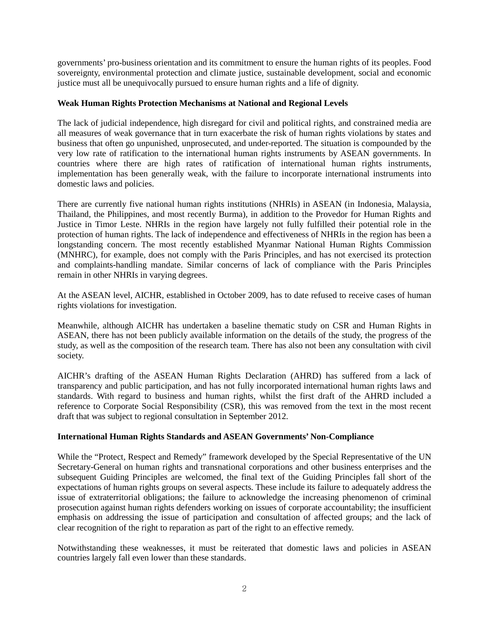governments' pro-business orientation and its commitment to ensure the human rights of its peoples. Food sovereignty, environmental protection and climate justice, sustainable development, social and economic justice must all be unequivocally pursued to ensure human rights and a life of dignity.

# **Weak Human Rights Protection Mechanisms at National and Regional Levels**

The lack of judicial independence, high disregard for civil and political rights, and constrained media are all measures of weak governance that in turn exacerbate the risk of human rights violations by states and business that often go unpunished, unprosecuted, and under-reported. The situation is compounded by the very low rate of ratification to the international human rights instruments by ASEAN governments. In countries where there are high rates of ratification of international human rights instruments, implementation has been generally weak, with the failure to incorporate international instruments into domestic laws and policies.

There are currently five national human rights institutions (NHRIs) in ASEAN (in Indonesia, Malaysia, Thailand, the Philippines, and most recently Burma), in addition to the Provedor for Human Rights and Justice in Timor Leste. NHRIs in the region have largely not fully fulfilled their potential role in the protection of human rights. The lack of independence and effectiveness of NHRIs in the region has been a longstanding concern. The most recently established Myanmar National Human Rights Commission (MNHRC), for example, does not comply with the Paris Principles, and has not exercised its protection and complaints-handling mandate. Similar concerns of lack of compliance with the Paris Principles remain in other NHRIs in varying degrees.

At the ASEAN level, AICHR, established in October 2009, has to date refused to receive cases of human rights violations for investigation.

Meanwhile, although AICHR has undertaken a baseline thematic study on CSR and Human Rights in ASEAN, there has not been publicly available information on the details of the study, the progress of the study, as well as the composition of the research team. There has also not been any consultation with civil society.

AICHR's drafting of the ASEAN Human Rights Declaration (AHRD) has suffered from a lack of transparency and public participation, and has not fully incorporated international human rights laws and standards. With regard to business and human rights, whilst the first draft of the AHRD included a reference to Corporate Social Responsibility (CSR), this was removed from the text in the most recent draft that was subject to regional consultation in September 2012.

# **International Human Rights Standards and ASEAN Governments' Non-Compliance**

While the "Protect, Respect and Remedy" framework developed by the Special Representative of the UN Secretary-General on human rights and transnational corporations and other business enterprises and the subsequent Guiding Principles are welcomed, the final text of the Guiding Principles fall short of the expectations of human rights groups on several aspects. These include its failure to adequately address the issue of extraterritorial obligations; the failure to acknowledge the increasing phenomenon of criminal prosecution against human rights defenders working on issues of corporate accountability; the insufficient emphasis on addressing the issue of participation and consultation of affected groups; and the lack of clear recognition of the right to reparation as part of the right to an effective remedy.

Notwithstanding these weaknesses, it must be reiterated that domestic laws and policies in ASEAN countries largely fall even lower than these standards.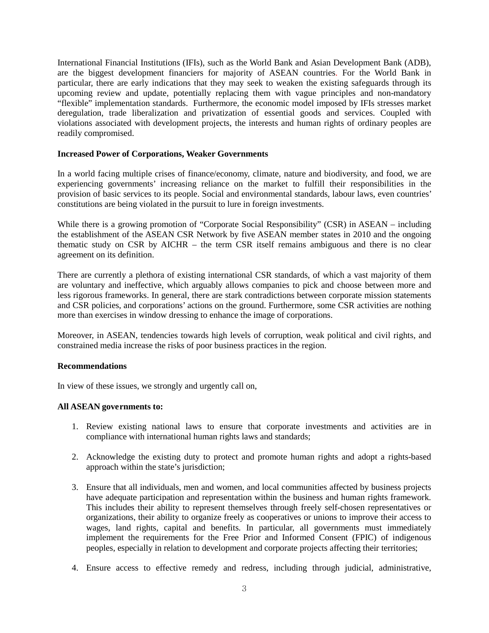International Financial Institutions (IFIs), such as the World Bank and Asian Development Bank (ADB), are the biggest development financiers for majority of ASEAN countries. For the World Bank in particular, there are early indications that they may seek to weaken the existing safeguards through its upcoming review and update, potentially replacing them with vague principles and non-mandatory "flexible" implementation standards. Furthermore, the economic model imposed by IFIs stresses market deregulation, trade liberalization and privatization of essential goods and services. Coupled with violations associated with development projects, the interests and human rights of ordinary peoples are readily compromised.

# **Increased Power of Corporations, Weaker Governments**

In a world facing multiple crises of finance/economy, climate, nature and biodiversity, and food, we are experiencing governments' increasing reliance on the market to fulfill their responsibilities in the provision of basic services to its people. Social and environmental standards, labour laws, even countries' constitutions are being violated in the pursuit to lure in foreign investments.

While there is a growing promotion of "Corporate Social Responsibility" (CSR) in ASEAN – including the establishment of the ASEAN CSR Network by five ASEAN member states in 2010 and the ongoing thematic study on CSR by AICHR – the term CSR itself remains ambiguous and there is no clear agreement on its definition.

There are currently a plethora of existing international CSR standards, of which a vast majority of them are voluntary and ineffective, which arguably allows companies to pick and choose between more and less rigorous frameworks. In general, there are stark contradictions between corporate mission statements and CSR policies, and corporations' actions on the ground. Furthermore, some CSR activities are nothing more than exercises in window dressing to enhance the image of corporations.

Moreover, in ASEAN, tendencies towards high levels of corruption, weak political and civil rights, and constrained media increase the risks of poor business practices in the region.

#### **Recommendations**

In view of these issues, we strongly and urgently call on,

# **All ASEAN governments to:**

- 1. Review existing national laws to ensure that corporate investments and activities are in compliance with international human rights laws and standards;
- 2. Acknowledge the existing duty to protect and promote human rights and adopt a rights-based approach within the state's jurisdiction;
- 3. Ensure that all individuals, men and women, and local communities affected by business projects have adequate participation and representation within the business and human rights framework. This includes their ability to represent themselves through freely self-chosen representatives or organizations, their ability to organize freely as cooperatives or unions to improve their access to wages, land rights, capital and benefits. In particular, all governments must immediately implement the requirements for the Free Prior and Informed Consent (FPIC) of indigenous peoples, especially in relation to development and corporate projects affecting their territories;
- 4. Ensure access to effective remedy and redress, including through judicial, administrative,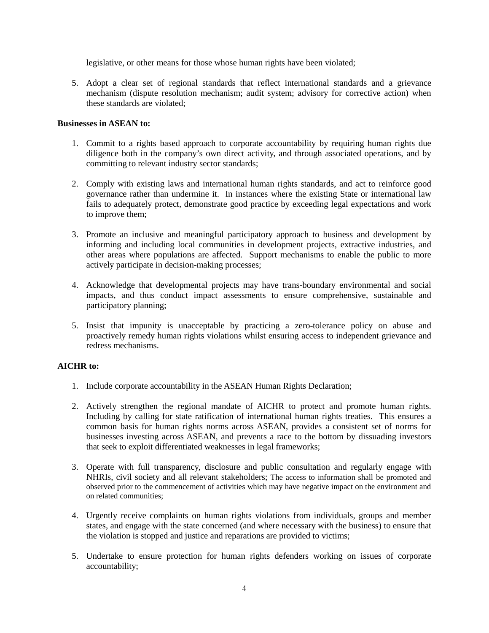legislative, or other means for those whose human rights have been violated;

5. Adopt a clear set of regional standards that reflect international standards and a grievance mechanism (dispute resolution mechanism; audit system; advisory for corrective action) when these standards are violated;

# **Businesses in ASEAN to:**

- 1. Commit to a rights based approach to corporate accountability by requiring human rights due diligence both in the company's own direct activity, and through associated operations, and by committing to relevant industry sector standards;
- 2. Comply with existing laws and international human rights standards, and act to reinforce good governance rather than undermine it. In instances where the existing State or international law fails to adequately protect, demonstrate good practice by exceeding legal expectations and work to improve them;
- 3. Promote an inclusive and meaningful participatory approach to business and development by informing and including local communities in development projects, extractive industries, and other areas where populations are affected. Support mechanisms to enable the public to more actively participate in decision-making processes;
- 4. Acknowledge that developmental projects may have trans-boundary environmental and social impacts, and thus conduct impact assessments to ensure comprehensive, sustainable and participatory planning;
- 5. Insist that impunity is unacceptable by practicing a zero-tolerance policy on abuse and proactively remedy human rights violations whilst ensuring access to independent grievance and redress mechanisms.

# **AICHR to:**

- 1. Include corporate accountability in the ASEAN Human Rights Declaration;
- 2. Actively strengthen the regional mandate of AICHR to protect and promote human rights. Including by calling for state ratification of international human rights treaties. This ensures a common basis for human rights norms across ASEAN, provides a consistent set of norms for businesses investing across ASEAN, and prevents a race to the bottom by dissuading investors that seek to exploit differentiated weaknesses in legal frameworks;
- 3. Operate with full transparency, disclosure and public consultation and regularly engage with NHRIs, civil society and all relevant stakeholders; The access to information shall be promoted and observed prior to the commencement of activities which may have negative impact on the environment and on related communities;
- 4. Urgently receive complaints on human rights violations from individuals, groups and member states, and engage with the state concerned (and where necessary with the business) to ensure that the violation is stopped and justice and reparations are provided to victims;
- 5. Undertake to ensure protection for human rights defenders working on issues of corporate accountability;